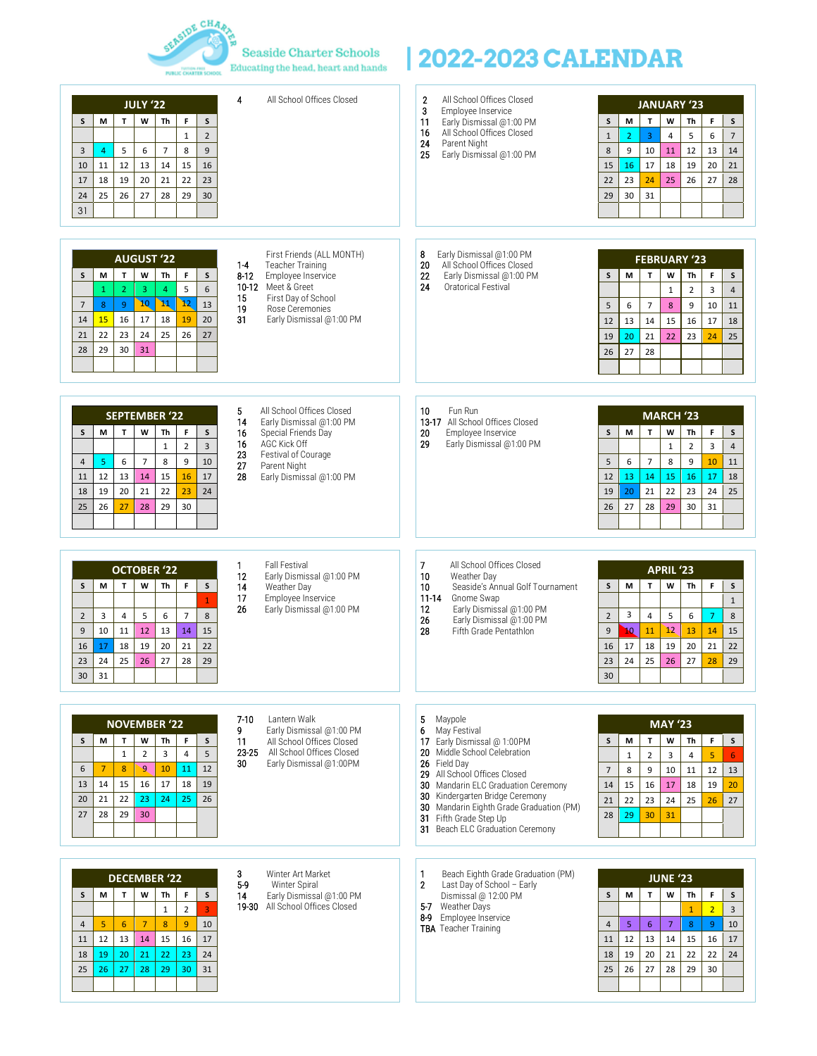

 $\begin{array}{l|l} \end{array} {\tiny \begin{array}{l} \text{S} \text{easide Chapter Schools} \\ \text{Educating the head, heart and hands} \end{array}} \begin{array}{l} \end{array} \begin{array}{l} \text{2022-2023 CALENDAR} \end{array}$ 

| 4<br>All School Offices Closed<br><b>JULY '22</b><br>M<br>T<br>W<br>F<br>S<br>Th<br>S<br>$\overline{2}$<br>$\mathbf{1}$<br>9<br>5<br>6<br>$\overline{7}$<br>8<br>3<br>$\overline{4}$<br>12<br>13<br>14<br>15<br>16<br>10<br>11<br>18<br>19<br>22<br>20<br>21<br>23<br>17<br>26<br>25<br>27<br>28<br>29<br>30<br>24<br>31                                                                                                                                                                                                      | All School Offices Closed<br>2<br>3<br>Employee Inservice<br>$\sf S$<br>11<br>Early Dismissal @1:00 PM<br>All School Offices Closed<br>16<br>$\mathbf{1}$<br>24<br>Parent Night<br>$\bf 8$<br>25<br>Early Dismissal @1:00 PM<br>15<br>22<br>29                                                                                                                                      | <b>JANUARY '23</b><br>$\mathbf{r}$<br>M<br>W<br>Th<br>F<br>$\sf S$<br>5<br>$\overline{7}$<br>$\overline{2}$<br>$\overline{3}$<br>6<br>$\overline{4}$<br>13<br>12<br>9<br>10<br>11<br>14<br>17<br>18<br>19<br>20<br>21<br>16<br>26<br>27<br>28<br>23<br>24<br>25<br>31<br>30          |
|-------------------------------------------------------------------------------------------------------------------------------------------------------------------------------------------------------------------------------------------------------------------------------------------------------------------------------------------------------------------------------------------------------------------------------------------------------------------------------------------------------------------------------|-------------------------------------------------------------------------------------------------------------------------------------------------------------------------------------------------------------------------------------------------------------------------------------------------------------------------------------------------------------------------------------|--------------------------------------------------------------------------------------------------------------------------------------------------------------------------------------------------------------------------------------------------------------------------------------|
| First Friends (ALL MONTH)<br><b>AUGUST '22</b><br>$1-4$<br>Teacher Training<br>T<br>W<br>F<br>M<br>Th<br>s<br>S<br>8-12<br>Employee Inservice<br>10-12 Meet & Greet<br>6<br>5<br>$\overline{2}$<br>$\overline{3}$<br>$\overline{4}$<br>$\mathbf{1}$<br>First Day of School<br>15<br>10<br>12<br>$\mathbf{M}$<br>13<br>$\overline{7}$<br>8<br>9<br>19<br>Rose Ceremonies<br>15<br>16<br>17<br>18<br>19<br>20<br>31<br>Early Dismissal @1:00 PM<br>14<br>22<br>23<br>24<br>25<br>26<br>27<br>21<br>30<br>29<br>31<br>28         | 8<br>Early Dismissal @1:00 PM<br>20<br>All School Offices Closed<br>Early Dismissal @1:00 PM<br>22<br>S<br>24<br><b>Oratorical Festival</b><br>5<br>12<br>19<br>26                                                                                                                                                                                                                  | <b>FEBRUARY '23</b><br>T.<br>F<br>M<br>W<br>Th<br>s<br>$\overline{2}$<br>$\overline{3}$<br>$\mathbf{1}$<br>$\overline{4}$<br>$\overline{7}$<br>9<br>10<br>6<br>8<br>11<br>13<br>14<br>15<br>16<br>17<br>18<br>20<br>21<br>22<br>23<br>24<br>25<br>28<br>27                           |
| All School Offices Closed<br>5<br><b>SEPTEMBER '22</b><br>14<br>Early Dismissal @1:00 PM<br>T<br>$\sf S$<br>М<br>W<br>Th<br>F<br>S<br>16<br>Special Friends Day<br>16<br>AGC Kick Off<br>$\overline{\mathbf{3}}$<br>$\overline{2}$<br>$\mathbf{1}$<br>Festival of Courage<br>23<br>$\overline{7}$<br>10<br>5<br>6<br>8<br>9<br>$\overline{4}$<br>27<br>Parent Night<br>17<br>12<br>13<br>14<br>15<br>16<br>28<br>Early Dismissal @1:00 PM<br>11<br>20<br>21<br>23<br>24<br>19<br>22<br>18<br>26<br>27<br>28<br>29<br>30<br>25 | 10<br>Fun Run<br>13-17 All School Offices Closed<br>S<br>20<br>Employee Inservice<br>29<br>Early Dismissal @1:00 PM<br>5<br>12<br>19<br>26                                                                                                                                                                                                                                          | <b>MARCH '23</b><br>F<br>M<br>$\mathbf{T}$<br>W<br>Th<br>s<br>$\overline{2}$<br>$\overline{3}$<br>$\mathbf{1}$<br>$\overline{4}$<br>$\overline{7}$<br>6<br>9<br>10<br>11<br>8<br>14<br>15<br>16<br>17<br>18<br>13<br>24<br>21<br>22<br>23<br>25<br>20<br>27<br>28<br>29<br>30<br>31  |
| 1<br><b>Fall Festival</b><br><b>OCTOBER '22</b><br>12<br>Early Dismissal @1:00 PM<br>T<br>W<br>S<br>S<br>М<br>Th<br>F<br>14<br>Weather Day<br>17<br>Employee Inservice<br>$\mathbf{1}$<br>Early Dismissal @1:00 PM<br>26<br>8<br>$\overline{\mathbf{4}}$<br>5<br>6<br>$\overline{7}$<br>$\overline{2}$<br>3<br>10<br>11<br>12<br>13<br>14<br>15<br>9<br>17<br>18<br>19<br>20<br>21<br>22<br>16<br>24<br>25<br>26<br>27<br>28<br>29<br>23<br>31<br>30                                                                          | 7<br>All School Offices Closed<br>10<br>Weather Day<br>Seaside's Annual Golf Tournament<br>S<br>10<br>$11 - 14$<br>Gnome Swap<br>12<br>Early Dismissal @1:00 PM<br>$\overline{2}$<br>26<br>Early Dismissal @1:00 PM<br>28<br>$\overline{9}$<br>Fifth Grade Pentathlon<br>16<br>23<br>30                                                                                             | <b>APRIL '23</b><br>W<br>М<br>T.<br>Th<br>F<br>s<br>$\mathbf{1}$<br>3<br>$\overline{4}$<br>5<br>6<br>$\overline{7}$<br>8<br>12<br>'n0<br>13<br>14<br>11<br>15<br>17<br>21<br>18<br>19<br>20<br>22<br>24<br>25<br>27<br>28<br>26<br>29                                                |
| $7-10$<br>Lantern Walk<br><b>NOVEMBER '22</b><br>9<br>Early Dismissal @1:00 PM<br>W<br>Th<br>F<br>s<br>М<br>T<br>s<br>All School Offices Closed<br>11<br>All School Offices Closed<br>23 25<br>$\mathbf 1$<br>$\overline{2}$<br>$\overline{3}$<br>5<br>$\overline{4}$<br>30<br>Early Dismissal @1:00PM<br>9.<br>12<br>6<br>$\overline{7}$<br>8<br>10<br>11<br>17<br>14<br>15<br>16<br>18<br>13<br>19<br>21<br>22<br>23<br>24<br>25<br>26<br>20<br>28<br>29<br>30<br>27                                                        | Maypole<br>5<br>May Festival<br>6<br>$\sf s$<br>17 Early Dismissal @ 1:00PM<br>20 Middle School Celebration<br>26 Field Day<br>$\overline{7}$<br>29 All School Offices Closed<br>30 Mandarin ELC Graduation Ceremony<br>14<br>30 Kindergarten Bridge Ceremony<br>21<br>30 Mandarin Eighth Grade Graduation (PM)<br>28<br>31 Fifth Grade Step Up<br>31 Beach ELC Graduation Ceremony | <b>MAY '23</b><br>$\mathsf F$<br>W<br>$\sf S$<br>M<br>$\mathbf{T}$<br>Th<br>$\overline{5}$<br>$\overline{2}$<br>$\overline{4}$<br>$\mathbf{1}$<br>3<br>6<br>12<br>8<br>9<br>10<br>11<br>13<br>15<br>16<br>18<br>19<br>20<br>17<br>22<br>23<br>24<br>25<br>27<br>26<br>29<br>30<br>31 |
| 3<br>Winter Art Market<br><b>DECEMBER '22</b><br>$5-9$<br>Winter Spiral<br>T<br>W<br>Th<br>s<br>М<br>F<br>s<br>14<br>Early Dismissal @1:00 PM<br>All School Offices Closed<br>19-30<br>$\overline{3}$<br>$\overline{2}$<br>$\mathbf{1}$<br>5 <sup>1</sup><br>$6\overline{6}$<br>$\overline{7}$<br>$\overline{8}$<br>$\overline{9}$<br>10<br>$\overline{4}$<br>14<br>15<br>16<br>12<br>13<br>17<br>11<br>24<br>19<br>20<br>21<br>22<br>23<br>18<br>26<br>27<br>28<br>30<br>29<br>31<br>25                                      | 1<br>Beach Eighth Grade Graduation (PM)<br>Last Day of School - Early<br>$\overline{2}$<br>$\mathsf{s}$<br>Dismissal @ 12:00 PM<br>5-7 Weather Days<br>8-9 Employee Inservice<br>$\overline{4}$<br><b>TBA</b> Teacher Training<br>11<br>18<br>25                                                                                                                                    | <b>JUNE '23</b><br>$\mathbf{T}$<br>W<br>M<br>Th<br>F<br>s<br>$\overline{2}$<br>$\overline{3}$<br>$\mathbf{1}$<br>5<br>$\overline{7}$<br>$\overline{8}$<br>$\,9$<br>6<br>10<br>12<br>13<br>16<br>17<br>14<br>15<br>21<br>19<br>20<br>22<br>22<br>24<br>27<br>26<br>28<br>29<br>30     |